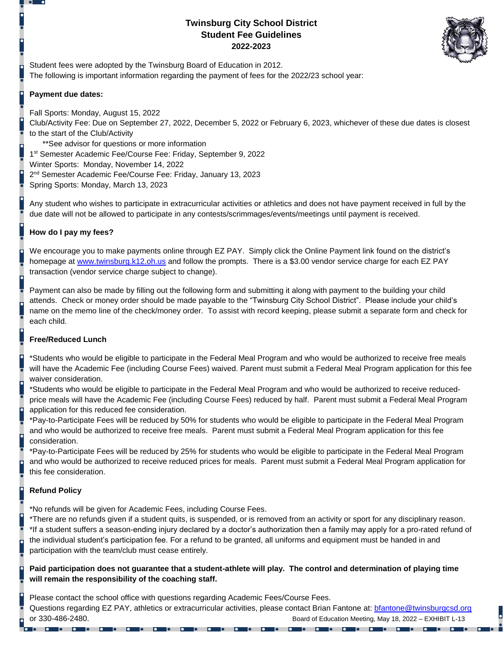# **Twinsburg City School District Student Fee Guidelines 2022-2023**



Student fees were adopted by the Twinsburg Board of Education in 2012. The following is important information regarding the payment of fees for the 2022/23 school year:

## **Payment due dates:**

Fall Sports: Monday, August 15, 2022 Club/Activity Fee: Due on September 27, 2022, December 5, 2022 or February 6, 2023, whichever of these due dates is closest to the start of the Club/Activity \*\*See advisor for questions or more information 1<sup>st</sup> Semester Academic Fee/Course Fee: Friday, September 9, 2022

Winter Sports: Monday, November 14, 2022

2<sup>nd</sup> Semester Academic Fee/Course Fee: Friday, January 13, 2023

Spring Sports: Monday, March 13, 2023

Any student who wishes to participate in extracurricular activities or athletics and does not have payment received in full by the due date will not be allowed to participate in any contests/scrimmages/events/meetings until payment is received.

## **How do I pay my fees?**

We encourage you to make payments online through EZ PAY. Simply click the Online Payment link found on the district's homepage at [www.twinsburg.k12.oh.us](http://www.twinsburg.k12.oh.us/) and follow the prompts. There is a \$3.00 vendor service charge for each EZ PAY transaction (vendor service charge subject to change).

Payment can also be made by filling out the following form and submitting it along with payment to the building your child attends. Check or money order should be made payable to the "Twinsburg City School District". Please include your child's name on the memo line of the check/money order. To assist with record keeping, please submit a separate form and check for each child.

## **Free/Reduced Lunch**

\*Students who would be eligible to participate in the Federal Meal Program and who would be authorized to receive free meals will have the Academic Fee (including Course Fees) waived. Parent must submit a Federal Meal Program application for this fee waiver consideration.

\*Students who would be eligible to participate in the Federal Meal Program and who would be authorized to receive reducedprice meals will have the Academic Fee (including Course Fees) reduced by half. Parent must submit a Federal Meal Program application for this reduced fee consideration.

\*Pay-to-Participate Fees will be reduced by 50% for students who would be eligible to participate in the Federal Meal Program and who would be authorized to receive free meals. Parent must submit a Federal Meal Program application for this fee consideration.

\*Pay-to-Participate Fees will be reduced by 25% for students who would be eligible to participate in the Federal Meal Program and who would be authorized to receive reduced prices for meals. Parent must submit a Federal Meal Program application for this fee consideration.

## **Refund Policy**

\*No refunds will be given for Academic Fees, including Course Fees.

\*There are no refunds given if a student quits, is suspended, or is removed from an activity or sport for any disciplinary reason. \*If a student suffers a season-ending injury declared by a doctor's authorization then a family may apply for a pro-rated refund of the individual student's participation fee. For a refund to be granted, all uniforms and equipment must be handed in and participation with the team/club must cease entirely.

## **Paid participation does not guarantee that a student-athlete will play. The control and determination of playing time will remain the responsibility of the coaching staff.**

Please contact the school office with questions regarding Academic Fees/Course Fees. Questions regarding EZ PAY, athletics or extracurricular activities, please contact Brian Fantone at: [bfantone@twinsburgcsd.org](mailto:bfantone@twinsburgcsd.org) or 330-486-2480. Board of Education Meeting, May 18, 2022 – EXHIBIT L-13

**Port of the Company of the Company of the Company of the Company of the Company of the Company of the Company** 

**Io de la carte de la carte de la carte de la carte de la carte de la carte de la carte de la carte de la c** 

 $\overline{\phantom{a}}$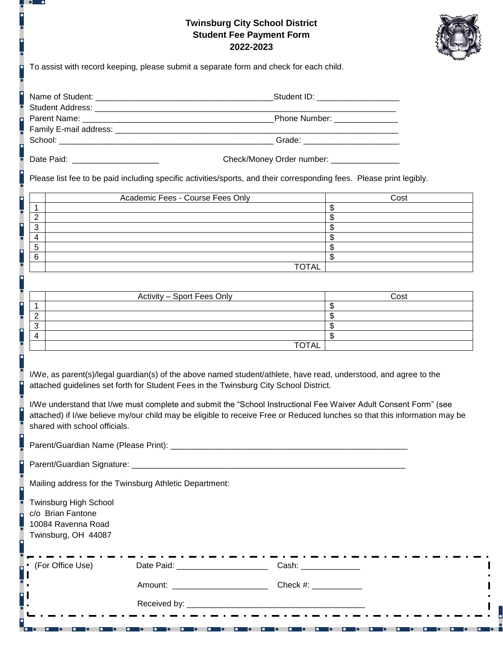# **Twinsburg City School District Student Fee Payment Form 2022-2023**



To assist with record keeping, please submit a separate form and check for each child.

| Name of Student:                     | Student ID: Annual Student ID: |  |
|--------------------------------------|--------------------------------|--|
| Student Address:                     |                                |  |
| Parent Name:                         | Phone Number: _______________  |  |
| Family E-mail address: _____________ |                                |  |
| School:                              | Grade:                         |  |

 $\overline{\cdot}$ 

Date Paid: \_\_\_\_\_\_\_\_\_\_\_\_\_\_\_\_\_\_\_ Check/Money Order number: \_\_\_\_\_\_\_\_\_\_\_\_\_\_\_

Please list fee to be paid including specific activities/sports, and their corresponding fees. Please print legibly.

|        | Academic Fees - Course Fees Only | Cost |
|--------|----------------------------------|------|
|        |                                  |      |
| c      |                                  |      |
| ົ<br>J |                                  |      |
| 4      |                                  |      |
| 5      |                                  |      |
| 6      |                                  |      |
|        | <b>TOTAL</b>                     |      |

|   | Activity - Sport Fees Only | Cost |
|---|----------------------------|------|
|   |                            |      |
|   |                            |      |
| ີ |                            |      |
|   |                            |      |
|   | <b>TOTAL</b>               |      |

I/We, as parent(s)/legal guardian(s) of the above named student/athlete, have read, understood, and agree to the attached guidelines set forth for Student Fees in the Twinsburg City School District.

I/We understand that I/we must complete and submit the "School Instructional Fee Waiver Adult Consent Form" (see attached) if I/we believe my/our child may be eligible to receive Free or Reduced lunches so that this information may be shared with school officials.

Parent/Guardian Name (Please Print): \_\_\_\_\_\_\_\_\_\_\_\_\_\_\_\_\_\_\_\_\_\_\_\_\_\_\_\_\_\_\_\_\_\_\_\_\_\_\_\_\_\_\_\_\_\_\_\_\_\_\_\_

Parent/Guardian Signature: \_\_\_\_\_\_\_\_\_\_\_\_\_\_\_\_\_\_\_\_\_\_\_\_\_\_\_\_\_\_\_\_\_\_\_\_\_\_\_\_\_\_\_\_\_\_\_\_\_\_\_\_\_\_\_\_\_\_\_\_

Mailing address for the Twinsburg Athletic Department:

**Professor Professor** 

Twinsburg High School c/o Brian Fantone 10084 Ravenna Road Twinsburg, OH 44087

| $\cdot$ (For Office Use) | Date Paid: Note that the painting of the painting of the painting of the painting of the painting of the painting of the painting of the painting of the painting of the painting of the painting of the painting of the paint | Cash:    |
|--------------------------|--------------------------------------------------------------------------------------------------------------------------------------------------------------------------------------------------------------------------------|----------|
| . .<br>11                | Amount:                                                                                                                                                                                                                        | Check #: |
| $\blacksquare$           | Received by:                                                                                                                                                                                                                   |          |

**To a long of the contract of the contract of the contract of the contract of the contract of the contract of t** 

**Io de la compa**